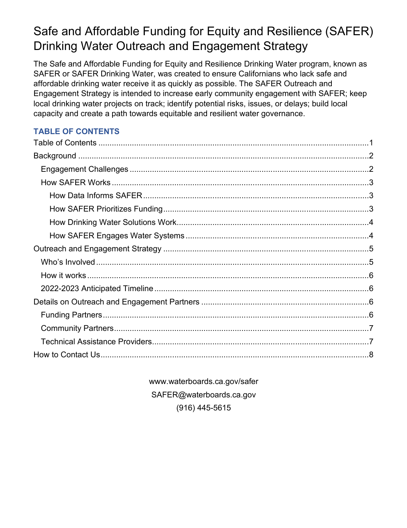# Safe and Affordable Funding for Equity and Resilience (SAFER) Drinking Water Outreach and Engagement Strategy

The Safe and Affordable Funding for Equity and Resilience Drinking Water program, known as SAFER or SAFER Drinking Water, was created to ensure Californians who lack safe and affordable drinking water receive it as quickly as possible. The SAFER Outreach and Engagement Strategy is intended to increase early community engagement with SAFER; keep local drinking water projects on track; identify potential risks, issues, or delays; build local capacity and create a path towards equitable and resilient water governance.

## <span id="page-0-0"></span>**TABLE OF CONTENTS**

www.waterboards.ca.gov/safer SAFER@waterboards.ca.gov (916) 445-5615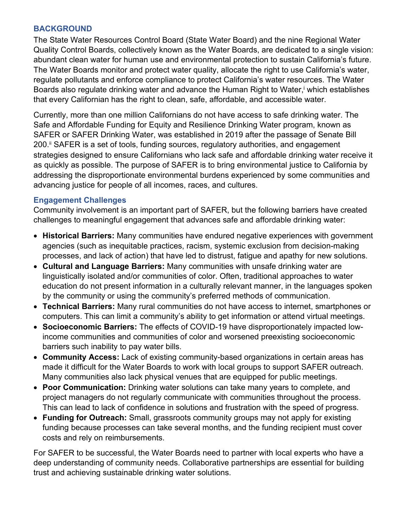#### <span id="page-1-0"></span>**BACKGROUND**

The State Water Resources Control Board (State Water Board) and the nine Regional Water Quality Control Boards, collectively known as the Water Boards, are dedicated to a single vision: abundant clean water for human use and environmental protection to sustain California's future. The Water Boards monitor and protect water quality, allocate the right to use California's water, regulate pollutants and enforce compliance to protect California's water resources. The Water Boards also regulate drinking water and advance the Human Right to Water, <sup>i</sup> which establishes that every Californian has the right to clean, safe, affordable, and accessible water.

Currently, more than one million Californians do not have access to safe drinking water. The Safe and Affordable Funding for Equity and Resilience Drinking Water program, known as SAFER or SAFER Drinking Water, was established in 2019 after the passage of Senate Bill 200. ii SAFER is a set of tools, funding sources, regulatory authorities, and engagement strategies designed to ensure Californians who lack safe and affordable drinking water receive it as quickly as possible. The purpose of SAFER is to bring environmental justice to California by addressing the disproportionate environmental burdens experienced by some communities and advancing justice for people of all incomes, races, and cultures.

#### <span id="page-1-1"></span>**Engagement Challenges**

Community involvement is an important part of SAFER, but the following barriers have created challenges to meaningful engagement that advances safe and affordable drinking water:

- · **Historical Barriers:** Many communities have endured negative experiences with government agencies (such as inequitable practices, racism, systemic exclusion from decision-making processes, and lack of action) that have led to distrust, fatigue and apathy for new solutions.
- · **Cultural and Language Barriers:** Many communities with unsafe drinking water are linguistically isolated and/or communities of color. Often, traditional approaches to water education do not present information in a culturally relevant manner, in the languages spoken by the community or using the community's preferred methods of communication.
- · **Technical Barriers:** Many rural communities do not have access to internet, smartphones or computers. This can limit a community's ability to get information or attend virtual meetings.
- · **Socioeconomic Barriers:** The effects of COVID-19 have disproportionately impacted lowincome communities and communities of color and worsened preexisting socioeconomic barriers such inability to pay water bills.
- · **Community Access:** Lack of existing community-based organizations in certain areas has made it difficult for the Water Boards to work with local groups to support SAFER outreach. Many communities also lack physical venues that are equipped for public meetings.
- **Poor Communication:** Drinking water solutions can take many years to complete, and project managers do not regularly communicate with communities throughout the process. This can lead to lack of confidence in solutions and frustration with the speed of progress.
- · **Funding for Outreach:** Small, grassroots community groups may not apply for existing funding because processes can take several months, and the funding recipient must cover costs and rely on reimbursements.

For SAFER to be successful, the Water Boards need to partner with local experts who have a deep understanding of community needs. Collaborative partnerships are essential for building trust and achieving sustainable drinking water solutions.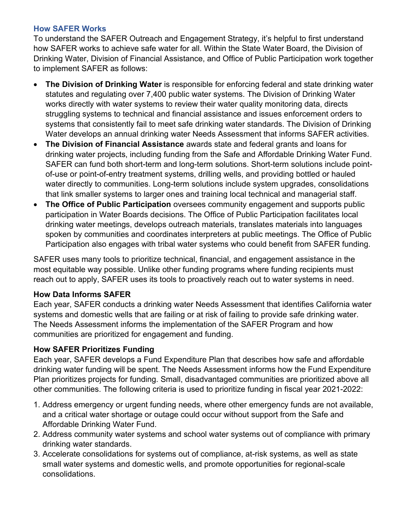#### <span id="page-2-0"></span>**How SAFER Works**

To understand the SAFER Outreach and Engagement Strategy, it's helpful to first understand how SAFER works to achieve safe water for all. Within the State Water Board, the Division of Drinking Water, Division of Financial Assistance, and Office of Public Participation work together to implement SAFER as follows:

- · **The Division of Drinking Water** is responsible for enforcing federal and state drinking water statutes and regulating over 7,400 public water systems. The Division of Drinking Water works directly with water systems to review their water quality monitoring data, directs struggling systems to technical and financial assistance and issues enforcement orders to systems that consistently fail to meet safe drinking water standards. The Division of Drinking Water develops an annual drinking water Needs Assessment that informs SAFER activities.
- · **The Division of Financial Assistance** awards state and federal grants and loans for drinking water projects, including funding from the Safe and Affordable Drinking Water Fund. SAFER can fund both short-term and long-term solutions. Short-term solutions include pointof-use or point-of-entry treatment systems, drilling wells, and providing bottled or hauled water directly to communities. Long-term solutions include system upgrades, consolidations that link smaller systems to larger ones and training local technical and managerial staff.
- · **The Office of Public Participation** oversees community engagement and supports public participation in Water Boards decisions. The Office of Public Participation facilitates local drinking water meetings, develops outreach materials, translates materials into languages spoken by communities and coordinates interpreters at public meetings. The Office of Public Participation also engages with tribal water systems who could benefit from SAFER funding.

SAFER uses many tools to prioritize technical, financial, and engagement assistance in the most equitable way possible. Unlike other funding programs where funding recipients must reach out to apply, SAFER uses its tools to proactively reach out to water systems in need.

#### <span id="page-2-1"></span>**How Data Informs SAFER**

Each year, SAFER conducts a drinking water Needs Assessment that identifies California water systems and domestic wells that are failing or at risk of failing to provide safe drinking water. The Needs Assessment informs the implementation of the SAFER Program and how communities are prioritized for engagement and funding.

## <span id="page-2-2"></span>**How SAFER Prioritizes Funding**

Each year, SAFER develops a Fund Expenditure Plan that describes how safe and affordable drinking water funding will be spent. The Needs Assessment informs how the Fund Expenditure Plan prioritizes projects for funding. Small, disadvantaged communities are prioritized above all other communities. The following criteria is used to prioritize funding in fiscal year 2021-2022:

- 1. Address emergency or urgent funding needs, where other emergency funds are not available, and a critical water shortage or outage could occur without support from the Safe and Affordable Drinking Water Fund.
- 2. Address community water systems and school water systems out of compliance with primary drinking water standards.
- 3. Accelerate consolidations for systems out of compliance, at-risk systems, as well as state small water systems and domestic wells, and promote opportunities for regional-scale consolidations.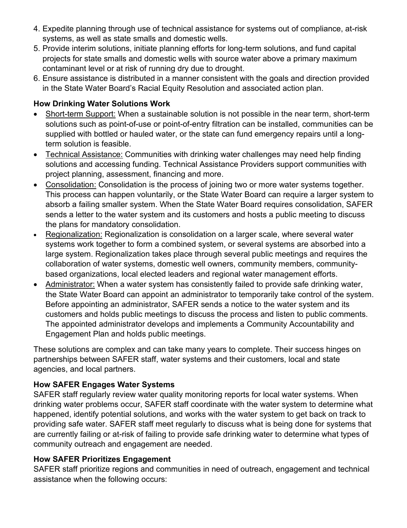- 4. Expedite planning through use of technical assistance for systems out of compliance, at-risk systems, as well as state smalls and domestic wells.
- 5. Provide interim solutions, initiate planning efforts for long-term solutions, and fund capital projects for state smalls and domestic wells with source water above a primary maximum contaminant level or at risk of running dry due to drought.
- 6. Ensure assistance is distributed in a manner consistent with the goals and direction provided in the State Water Board's Racial Equity Resolution and associated action plan.

## <span id="page-3-0"></span>**How Drinking Water Solutions Work**

- · Short-term Support: When a sustainable solution is not possible in the near term, short-term solutions such as point-of-use or point-of-entry filtration can be installed, communities can be supplied with bottled or hauled water, or the state can fund emergency repairs until a longterm solution is feasible.
- Technical Assistance: Communities with drinking water challenges may need help finding solutions and accessing funding. Technical Assistance Providers support communities with project planning, assessment, financing and more.
- · Consolidation: Consolidation is the process of joining two or more water systems together. This process can happen voluntarily, or the State Water Board can require a larger system to absorb a failing smaller system. When the State Water Board requires consolidation, SAFER sends a letter to the water system and its customers and hosts a public meeting to discuss the plans for mandatory consolidation.
- Regionalization: Regionalization is consolidation on a larger scale, where several water systems work together to form a combined system, or several systems are absorbed into a large system. Regionalization takes place through several public meetings and requires the collaboration of water systems, domestic well owners, community members, communitybased organizations, local elected leaders and regional water management efforts.
- · Administrator: When a water system has consistently failed to provide safe drinking water, the State Water Board can appoint an administrator to temporarily take control of the system. Before appointing an administrator, SAFER sends a notice to the water system and its customers and holds public meetings to discuss the process and listen to public comments. The appointed administrator develops and implements a Community Accountability and Engagement Plan and holds public meetings.

These solutions are complex and can take many years to complete. Their success hinges on partnerships between SAFER staff, water systems and their customers, local and state agencies, and local partners.

#### <span id="page-3-1"></span>**How SAFER Engages Water Systems**

SAFER staff regularly review water quality monitoring reports for local water systems. When drinking water problems occur, SAFER staff coordinate with the water system to determine what happened, identify potential solutions, and works with the water system to get back on track to providing safe water. SAFER staff meet regularly to discuss what is being done for systems that are currently failing or at-risk of failing to provide safe drinking water to determine what types of community outreach and engagement are needed.

## **How SAFER Prioritizes Engagement**

SAFER staff prioritize regions and communities in need of outreach, engagement and technical assistance when the following occurs: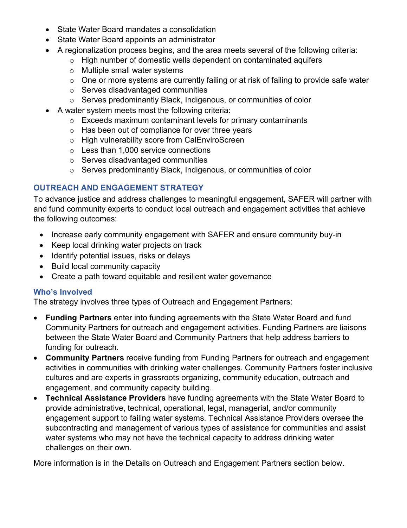- State Water Board mandates a consolidation
- State Water Board appoints an administrator
- · A regionalization process begins, and the area meets several of the following criteria:
	- o High number of domestic wells dependent on contaminated aquifers
	- o Multiple small water systems
	- o One or more systems are currently failing or at risk of failing to provide safe water
	- o Serves disadvantaged communities
	- o Serves predominantly Black, Indigenous, or communities of color
- · A water system meets most the following criteria:
	- o Exceeds maximum contaminant levels for primary contaminants
	- o Has been out of compliance for over three years
	- o High vulnerability score from CalEnviroScreen
	- o Less than 1,000 service connections
	- o Serves disadvantaged communities
	- o Serves predominantly Black, Indigenous, or communities of color

#### <span id="page-4-0"></span>**OUTREACH AND ENGAGEMENT STRATEGY**

To advance justice and address challenges to meaningful engagement, SAFER will partner with and fund community experts to conduct local outreach and engagement activities that achieve the following outcomes:

- · Increase early community engagement with SAFER and ensure community buy-in
- · Keep local drinking water projects on track
- · Identify potential issues, risks or delays
- · Build local community capacity
- · Create a path toward equitable and resilient water governance

#### <span id="page-4-1"></span>**Who's Involved**

The strategy involves three types of Outreach and Engagement Partners:

- · **Funding Partners** enter into funding agreements with the State Water Board and fund Community Partners for outreach and engagement activities. Funding Partners are liaisons between the State Water Board and Community Partners that help address barriers to funding for outreach.
- · **Community Partners** receive funding from Funding Partners for outreach and engagement activities in communities with drinking water challenges. Community Partners foster inclusive cultures and are experts in grassroots organizing, community education, outreach and engagement, and community capacity building.
- · **Technical Assistance Providers** have funding agreements with the State Water Board to provide administrative, technical, operational, legal, managerial, and/or community engagement support to failing water systems. Technical Assistance Providers oversee the subcontracting and management of various types of assistance for communities and assist water systems who may not have the technical capacity to address drinking water challenges on their own.

More information is in the Details on Outreach and Engagement Partners section below.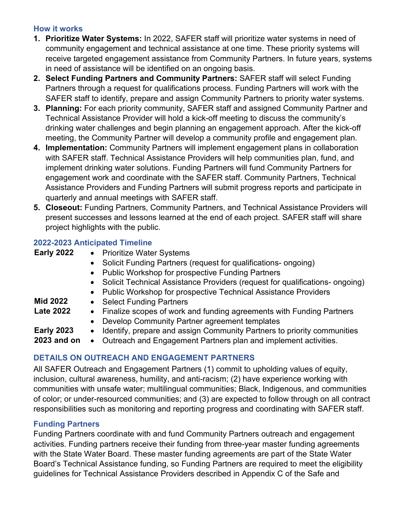## <span id="page-5-0"></span>**How it works**

- **1. Prioritize Water Systems:** In 2022, SAFER staff will prioritize water systems in need of community engagement and technical assistance at one time. These priority systems will receive targeted engagement assistance from Community Partners. In future years, systems in need of assistance will be identified on an ongoing basis.
- **2. Select Funding Partners and Community Partners:** SAFER staff will select Funding Partners through a request for qualifications process. Funding Partners will work with the SAFER staff to identify, prepare and assign Community Partners to priority water systems.
- **3. Planning:** For each priority community, SAFER staff and assigned Community Partner and Technical Assistance Provider will hold a kick-off meeting to discuss the community's drinking water challenges and begin planning an engagement approach. After the kick-off meeting, the Community Partner will develop a community profile and engagement plan.
- **4. Implementation:** Community Partners will implement engagement plans in collaboration with SAFER staff. Technical Assistance Providers will help communities plan, fund, and implement drinking water solutions. Funding Partners will fund Community Partners for engagement work and coordinate with the SAFER staff. Community Partners, Technical Assistance Providers and Funding Partners will submit progress reports and participate in quarterly and annual meetings with SAFER staff.
- **5. Closeout:** Funding Partners, Community Partners, and Technical Assistance Providers will present successes and lessons learned at the end of each project. SAFER staff will share project highlights with the public.

## <span id="page-5-1"></span>**2022-2023 Anticipated Timeline**

| <b>Early 2022</b> |  |  | <b>Prioritize Water Systems</b> |  |  |
|-------------------|--|--|---------------------------------|--|--|
|                   |  |  |                                 |  |  |

- Solicit Funding Partners (request for qualifications- ongoing)
- Public Workshop for prospective Funding Partners
- Solicit Technical Assistance Providers (request for qualifications- ongoing)
- · Public Workshop for prospective Technical Assistance Providers

- **Mid 2022** · Select Funding Partners
- Late 2022 Finalize scopes of work and funding agreements with Funding Partners
	- · Develop Community Partner agreement templates
- **Early 2023** Identify, prepare and assign Community Partners to priority communities

**2023 and on** · Outreach and Engagement Partners plan and implement activities.

## <span id="page-5-2"></span>**DETAILS ON OUTREACH AND ENGAGEMENT PARTNERS**

All SAFER Outreach and Engagement Partners (1) commit to upholding values of equity, inclusion, cultural awareness, humility, and anti-racism; (2) have experience working with communities with unsafe water; multilingual communities; Black, Indigenous, and communities of color; or under-resourced communities; and (3) are expected to follow through on all contract responsibilities such as monitoring and reporting progress and coordinating with SAFER staff.

## <span id="page-5-3"></span>**Funding Partners**

Funding Partners coordinate with and fund Community Partners outreach and engagement activities. Funding partners receive their funding from three-year master funding agreements with the State Water Board. These master funding agreements are part of the State Water Board's Technical Assistance funding, so Funding Partners are required to meet the eligibility guidelines for Technical Assistance Providers described in Appendix C of the Safe and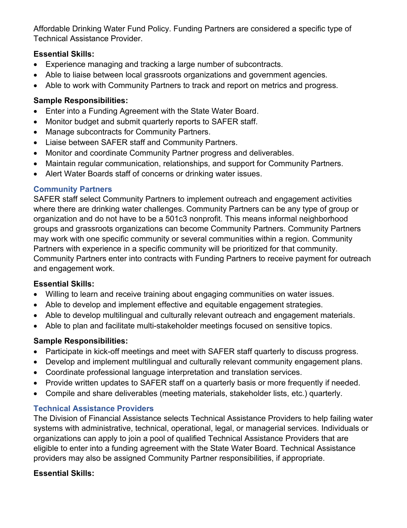Affordable Drinking Water Fund Policy. Funding Partners are considered a specific type of Technical Assistance Provider.

## **Essential Skills:**

- · Experience managing and tracking a large number of subcontracts.
- · Able to liaise between local grassroots organizations and government agencies.
- · Able to work with Community Partners to track and report on metrics and progress.

## **Sample Responsibilities:**

- Enter into a Funding Agreement with the State Water Board.
- · Monitor budget and submit quarterly reports to SAFER staff.
- · Manage subcontracts for Community Partners.
- · Liaise between SAFER staff and Community Partners.
- · Monitor and coordinate Community Partner progress and deliverables.
- · Maintain regular communication, relationships, and support for Community Partners.
- · Alert Water Boards staff of concerns or drinking water issues.

## <span id="page-6-0"></span>**Community Partners**

SAFER staff select Community Partners to implement outreach and engagement activities where there are drinking water challenges. Community Partners can be any type of group or organization and do not have to be a 501c3 nonprofit. This means informal neighborhood groups and grassroots organizations can become Community Partners. Community Partners may work with one specific community or several communities within a region. Community Partners with experience in a specific community will be prioritized for that community. Community Partners enter into contracts with Funding Partners to receive payment for outreach and engagement work.

## **Essential Skills:**

- · Willing to learn and receive training about engaging communities on water issues.
- · Able to develop and implement effective and equitable engagement strategies.
- · Able to develop multilingual and culturally relevant outreach and engagement materials.
- · Able to plan and facilitate multi-stakeholder meetings focused on sensitive topics.

## **Sample Responsibilities:**

- · Participate in kick-off meetings and meet with SAFER staff quarterly to discuss progress.
- · Develop and implement multilingual and culturally relevant community engagement plans.
- · Coordinate professional language interpretation and translation services.
- · Provide written updates to SAFER staff on a quarterly basis or more frequently if needed.
- · Compile and share deliverables (meeting materials, stakeholder lists, etc.) quarterly.

## <span id="page-6-1"></span>**Technical Assistance Providers**

The Division of Financial Assistance selects Technical Assistance Providers to help failing water systems with administrative, technical, operational, legal, or managerial services. Individuals or organizations can apply to join a pool of qualified Technical Assistance Providers that are eligible to enter into a funding agreement with the State Water Board. Technical Assistance providers may also be assigned Community Partner responsibilities, if appropriate.

## **Essential Skills:**